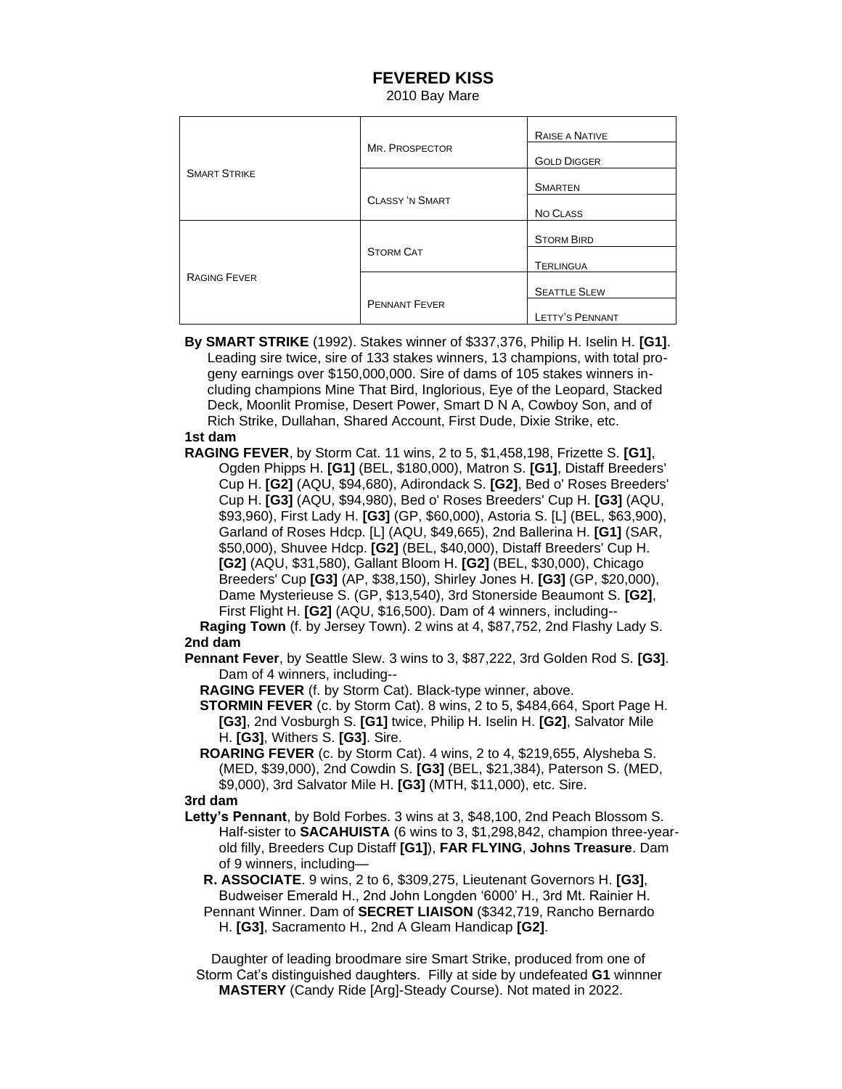## **FEVERED KISS** 2010 Bay Mare

**SMART STRIKE** MR. PROSPECTOR RAISE A NATIVE GOLD DIGGER CLASSY 'N SMART **SMARTEN** NO CLASS RAGING FEVER STORM CAT STORM BIRD **TERLINGUA** PENNANT FEVER **SEATTLE SLEW** LETTY'S PENNANT

 **By SMART STRIKE** (1992). Stakes winner of \$337,376, Philip H. Iselin H. **[G1]**. Leading sire twice, sire of 133 stakes winners, 13 champions, with total pro geny earnings over \$150,000,000. Sire of dams of 105 stakes winners in cluding champions Mine That Bird, Inglorious, Eye of the Leopard, Stacked Deck, Moonlit Promise, Desert Power, Smart D N A, Cowboy Son, and of Rich Strike, Dullahan, Shared Account, First Dude, Dixie Strike, etc.

## **1st dam**

 **RAGING FEVER**, by Storm Cat. 11 wins, 2 to 5, \$1,458,198, Frizette S. **[G1]**, Ogden Phipps H. **[G1]** (BEL, \$180,000), Matron S. **[G1]**, Distaff Breeders' Cup H. **[G2]** (AQU, \$94,680), Adirondack S. **[G2]**, Bed o' Roses Breeders' Cup H. **[G3]** (AQU, \$94,980), Bed o' Roses Breeders' Cup H. **[G3]** (AQU, \$93,960), First Lady H. **[G3]** (GP, \$60,000), Astoria S. [L] (BEL, \$63,900), Garland of Roses Hdcp. [L] (AQU, \$49,665), 2nd Ballerina H. **[G1]** (SAR, \$50,000), Shuvee Hdcp. **[G2]** (BEL, \$40,000), Distaff Breeders' Cup H. **[G2]** (AQU, \$31,580), Gallant Bloom H. **[G2]** (BEL, \$30,000), Chicago Breeders' Cup **[G3]** (AP, \$38,150), Shirley Jones H. **[G3]** (GP, \$20,000), Dame Mysterieuse S. (GP, \$13,540), 3rd Stonerside Beaumont S. **[G2]**, First Flight H. **[G2]** (AQU, \$16,500). Dam of 4 winners, including--

 **Raging Town** (f. by Jersey Town). 2 wins at 4, \$87,752, 2nd Flashy Lady S. **2nd dam**

 **Pennant Fever**, by Seattle Slew. 3 wins to 3, \$87,222, 3rd Golden Rod S. **[G3]**. Dam of 4 winners, including--

**RAGING FEVER** (f. by Storm Cat). Black-type winner, above.

- **STORMIN FEVER** (c. by Storm Cat). 8 wins, 2 to 5, \$484,664, Sport Page H. **[G3]**, 2nd Vosburgh S. **[G1]** twice, Philip H. Iselin H. **[G2]**, Salvator Mile H. **[G3]**, Withers S. **[G3]**. Sire.
- **ROARING FEVER** (c. by Storm Cat). 4 wins, 2 to 4, \$219,655, Alysheba S. (MED, \$39,000), 2nd Cowdin S. **[G3]** (BEL, \$21,384), Paterson S. (MED, \$9,000), 3rd Salvator Mile H. **[G3]** (MTH, \$11,000), etc. Sire.

## **3rd dam**

 **Letty's Pennant**, by Bold Forbes. 3 wins at 3, \$48,100, 2nd Peach Blossom S. Half-sister to **SACAHUISTA** (6 wins to 3, \$1,298,842, champion three-year old filly, Breeders Cup Distaff **[G1]**), **FAR FLYING**, **Johns Treasure**. Dam of 9 winners, including—

 **R. ASSOCIATE**. 9 wins, 2 to 6, \$309,275, Lieutenant Governors H. **[G3]**, Budweiser Emerald H., 2nd John Longden '6000' H., 3rd Mt. Rainier H.

 Pennant Winner. Dam of **SECRET LIAISON** (\$342,719, Rancho Bernardo H. **[G3]**, Sacramento H., 2nd A Gleam Handicap **[G2]**.

 Daughter of leading broodmare sire Smart Strike, produced from one of Storm Cat's distinguished daughters. Filly at side by undefeated **G1** winnner **MASTERY** (Candy Ride [Arg]-Steady Course). Not mated in 2022.